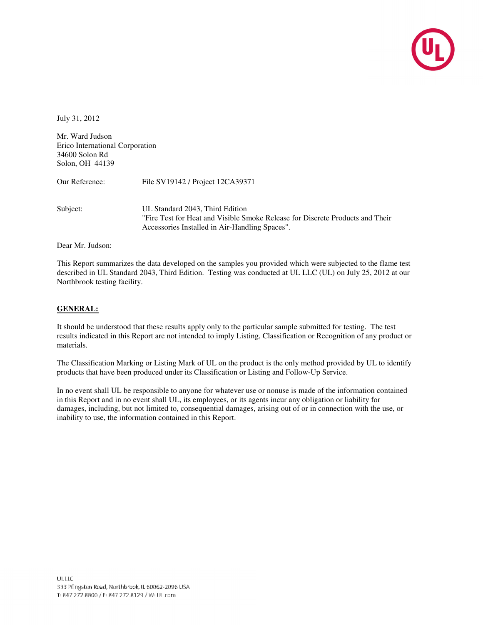

July 31, 2012

Mr. Ward Judson Erico International Corporation 34600 Solon Rd Solon, OH 44139

Our Reference: File SV19142 / Project 12CA39371

Subject: UL Standard 2043, Third Edition "Fire Test for Heat and Visible Smoke Release for Discrete Products and Their Accessories Installed in Air-Handling Spaces".

Dear Mr. Judson:

This Report summarizes the data developed on the samples you provided which were subjected to the flame test described in UL Standard 2043, Third Edition. Testing was conducted at UL LLC (UL) on July 25, 2012 at our Northbrook testing facility.

### **GENERAL:**

It should be understood that these results apply only to the particular sample submitted for testing. The test results indicated in this Report are not intended to imply Listing, Classification or Recognition of any product or materials.

The Classification Marking or Listing Mark of UL on the product is the only method provided by UL to identify products that have been produced under its Classification or Listing and Follow-Up Service.

In no event shall UL be responsible to anyone for whatever use or nonuse is made of the information contained in this Report and in no event shall UL, its employees, or its agents incur any obligation or liability for damages, including, but not limited to, consequential damages, arising out of or in connection with the use, or inability to use, the information contained in this Report.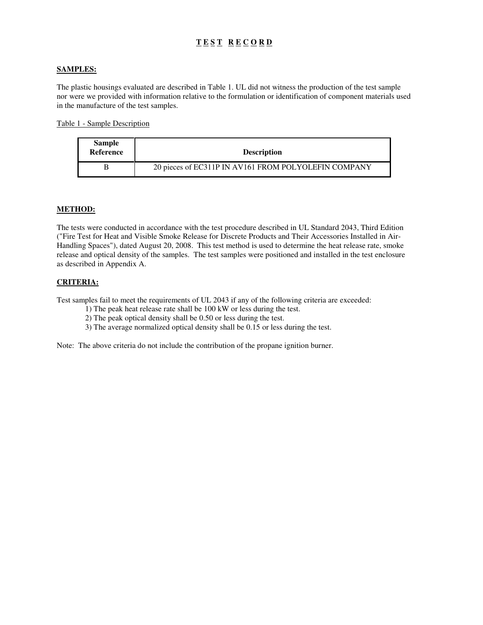## **T E S T R E C O R D**

### **SAMPLES:**

The plastic housings evaluated are described in Table 1. UL did not witness the production of the test sample nor were we provided with information relative to the formulation or identification of component materials used in the manufacture of the test samples.

Table 1 - Sample Description

| <b>Sample</b><br>Reference | <b>Description</b>                                   |
|----------------------------|------------------------------------------------------|
| В                          | 20 pieces of EC311P IN AV161 FROM POLYOLEFIN COMPANY |

#### **METHOD:**

The tests were conducted in accordance with the test procedure described in UL Standard 2043, Third Edition ("Fire Test for Heat and Visible Smoke Release for Discrete Products and Their Accessories Installed in Air-Handling Spaces"), dated August 20, 2008. This test method is used to determine the heat release rate, smoke release and optical density of the samples. The test samples were positioned and installed in the test enclosure as described in Appendix A.

### **CRITERIA:**

Test samples fail to meet the requirements of UL 2043 if any of the following criteria are exceeded:

- 1) The peak heat release rate shall be 100 kW or less during the test.
- 2) The peak optical density shall be 0.50 or less during the test.
- 3) The average normalized optical density shall be 0.15 or less during the test.

Note: The above criteria do not include the contribution of the propane ignition burner.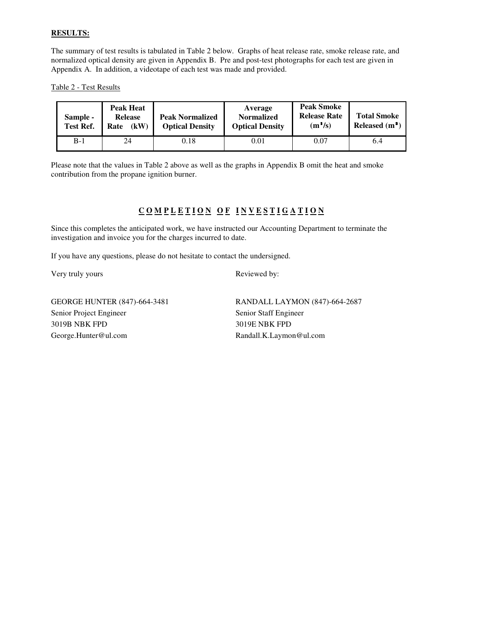### **RESULTS:**

The summary of test results is tabulated in Table 2 below. Graphs of heat release rate, smoke release rate, and normalized optical density are given in Appendix B. Pre and post-test photographs for each test are given in Appendix A. In addition, a videotape of each test was made and provided.

Table 2 - Test Results

| Sample -<br><b>Test Ref.</b> | <b>Peak Heat</b><br><b>Release</b><br>(kW)<br>Rate | <b>Peak Normalized</b><br><b>Optical Density</b> | Average<br><b>Normalized</b><br><b>Optical Density</b> | <b>Peak Smoke</b><br><b>Release Rate</b><br>$(m^2/s)$ | <b>Total Smoke</b><br>Released $(m2)$ |
|------------------------------|----------------------------------------------------|--------------------------------------------------|--------------------------------------------------------|-------------------------------------------------------|---------------------------------------|
| $B-1$                        | 24                                                 | 0.18                                             | 0.01                                                   | 0.07                                                  | 6.4                                   |

Please note that the values in Table 2 above as well as the graphs in Appendix B omit the heat and smoke contribution from the propane ignition burner.

# COMPLETION OF INVESTIGATION

Since this completes the anticipated work, we have instructed our Accounting Department to terminate the investigation and invoice you for the charges incurred to date.

If you have any questions, please do not hesitate to contact the undersigned.

Very truly yours Reviewed by:

Senior Project Engineer Senior Staff Engineer 3019B NBK FPD 3019E NBK FPD George.Hunter@ul.com Randall.K.Laymon@ul.com

GEORGE HUNTER (847)-664-3481 RANDALL LAYMON (847)-664-2687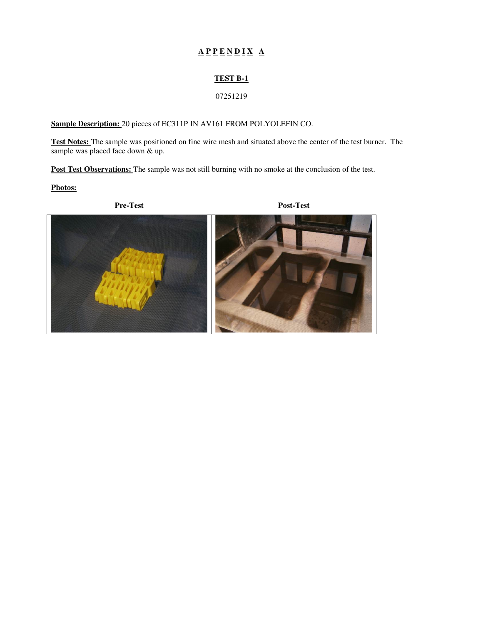# $A P P E N D I X A$

### **TEST B-1**

### 07251219

### **Sample Description:** 20 pieces of EC311P IN AV161 FROM POLYOLEFIN CO.

**Test Notes:** The sample was positioned on fine wire mesh and situated above the center of the test burner. The sample was placed face down & up.

Post Test Observations: The sample was not still burning with no smoke at the conclusion of the test.

**Photos:** 

**Pre-Test Post-Test** 

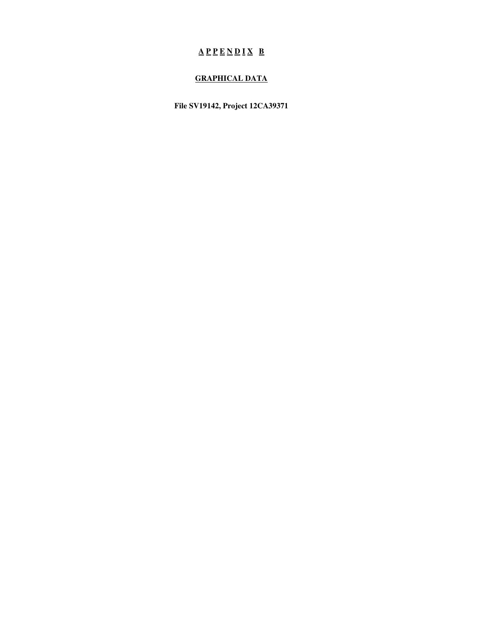# $A P P E N D I X B$

## **GRAPHICAL DATA**

**File SV19142, Project 12CA39371**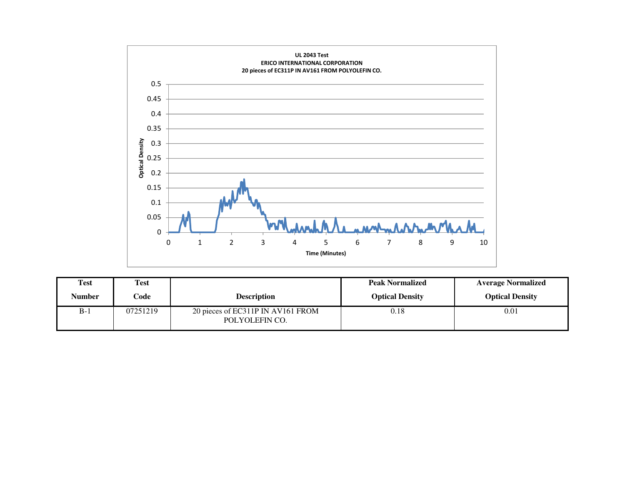

| <b>Test</b> | <b>Test</b> |                                                     | <b>Peak Normalized</b> | <b>Average Normalized</b> |
|-------------|-------------|-----------------------------------------------------|------------------------|---------------------------|
| Number      | Code        | <b>Description</b>                                  | <b>Optical Density</b> | <b>Optical Density</b>    |
| $B-1$       | 07251219    | 20 pieces of EC311P IN AV161 FROM<br>POLYOLEFIN CO. | 0.18                   | 0.01                      |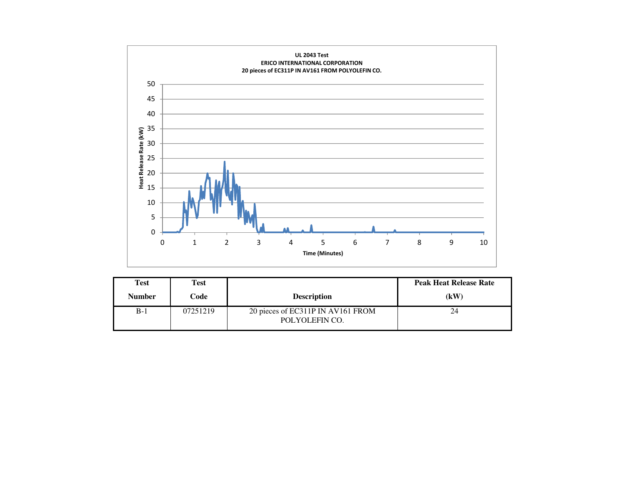

| Test          | Test     |                                                     | <b>Peak Heat Release Rate</b> |
|---------------|----------|-----------------------------------------------------|-------------------------------|
| <b>Number</b> | Code     | <b>Description</b>                                  | (kW)                          |
| $B-1$         | 07251219 | 20 pieces of EC311P IN AV161 FROM<br>POLYOLEFIN CO. | 24                            |